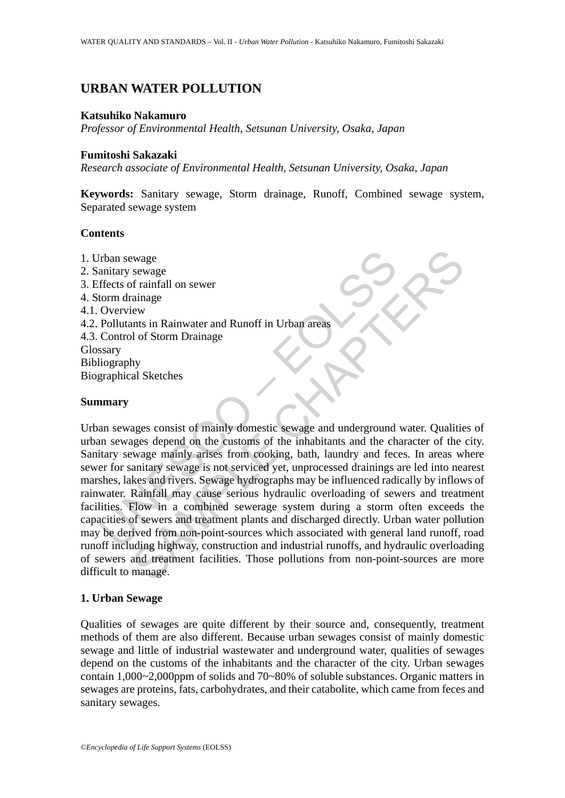# **URBAN WATER POLLUTION**

#### **Katsuhiko Nakamuro**

*Professor of Environmental Health, Setsunan University, Osaka, Japan* 

### **Fumitoshi Sakazaki**

*Research associate of Environmental Health, Setsunan University, Osaka, Japan* 

**Keywords:** Sanitary sewage, Storm drainage, Runoff, Combined sewage system, Separated sewage system

#### **Contents**

1. Urban sewage 2. Sanitary sewage 3. Effects of rainfall on sewer 4. Storm drainage 4.1. Overview 4.2. Pollutants in Rainwater and Runoff in Urban areas 4.3. Control of Storm Drainage Glossary Bibliography Biographical Sketches

## **Summary**

Frain sewage<br>
emitary sewage<br>
emitary sewage<br>
effects of rainfall on sewer<br>
Correleive<br>
Depletitants in Rainwater and Runoff in Urban areas<br>
Control of Storm Drainage<br>
Scontrol of Storm Drainage<br>
ssary<br>
liography<br>
an sewag Examples<br>
Servage<br>
Servage<br>
Servage<br>
Servage<br>
Sammage<br>
Sammage<br>
Sammage<br>
Sammage<br>
Sammage<br>
Sammage<br>
Sammage<br>
Sammage<br>
Sammage<br>
Sammage<br>
Sammage Sammage<br>
Sammage is not serviced yet, unprocessed drainings are led into near<br> Urban sewages consist of mainly domestic sewage and underground water. Qualities of urban sewages depend on the customs of the inhabitants and the character of the city. Sanitary sewage mainly arises from cooking, bath, laundry and feces. In areas where sewer for sanitary sewage is not serviced yet, unprocessed drainings are led into nearest marshes, lakes and rivers. Sewage hydrographs may be influenced radically by inflows of rainwater. Rainfall may cause serious hydraulic overloading of sewers and treatment facilities. Flow in a combined sewerage system during a storm often exceeds the capacities of sewers and treatment plants and discharged directly. Urban water pollution may be derived from non-point-sources which associated with general land runoff, road runoff including highway, construction and industrial runoffs, and hydraulic overloading of sewers and treatment facilities. Those pollutions from non-point-sources are more difficult to manage.

### **1. Urban Sewage**

Qualities of sewages are quite different by their source and, consequently, treatment methods of them are also different. Because urban sewages consist of mainly domestic sewage and little of industrial wastewater and underground water, qualities of sewages depend on the customs of the inhabitants and the character of the city. Urban sewages contain 1,000~2,000ppm of solids and 70~80% of soluble substances. Organic matters in sewages are proteins, fats, carbohydrates, and their catabolite, which came from feces and sanitary sewages.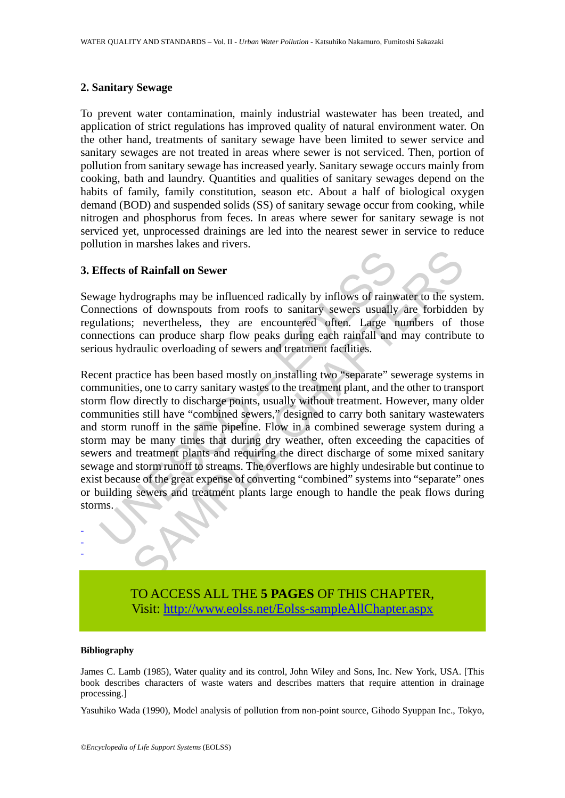## **2. Sanitary Sewage**

To prevent water contamination, mainly industrial wastewater has been treated, and application of strict regulations has improved quality of natural environment water. On the other hand, treatments of sanitary sewage have been limited to sewer service and sanitary sewages are not treated in areas where sewer is not serviced. Then, portion of pollution from sanitary sewage has increased yearly. Sanitary sewage occurs mainly from cooking, bath and laundry. Quantities and qualities of sanitary sewages depend on the habits of family, family constitution, season etc. About a half of biological oxygen demand (BOD) and suspended solids (SS) of sanitary sewage occur from cooking, while nitrogen and phosphorus from feces. In areas where sewer for sanitary sewage is not serviced yet, unprocessed drainings are led into the nearest sewer in service to reduce pollution in marshes lakes and rivers.

### **3. Effects of Rainfall on Sewer**

Sewage hydrographs may be influenced radically by inflows of rainwater to the system. Connections of downspouts from roofs to sanitary sewers usually are forbidden by regulations; nevertheless, they are encountered often. Large numbers of those connections can produce sharp flow peaks during each rainfall and may contribute to serious hydraulic overloading of sewers and treatment facilities.

ffects of Rainfall on Sewer<br>
rage hydrographs may be influenced radically by inflows of rainw<br>
mections of downspouts from roofs to sanitary sewers usually<br>
lations; nevertheless, they are encountered often. Large r<br>
mecti of Rainfall on Sewer<br>drographs may be influenced radically by inflows of rainwater to the sys<br>so f downspouts from roofs to sanitary sewers usually are forbidder;<br>revertheless, they are encountered often. Large numbers of Recent practice has been based mostly on installing two "separate" sewerage systems in communities, one to carry sanitary wastes to the treatment plant, and the other to transport storm flow directly to discharge points, usually without treatment. However, many older communities still have "combined sewers," designed to carry both sanitary wastewaters and storm runoff in the same pipeline. Flow in a combined sewerage system during a storm may be many times that during dry weather, often exceeding the capacities of sewers and treatment plants and requiring the direct discharge of some mixed sanitary sewage and storm runoff to streams. The overflows are highly undesirable but continue to exist because of the great expense of converting "combined" systems into "separate" ones or building sewers and treatment plants large enough to handle the peak flows during storms.

> TO ACCESS ALL THE **5 PAGES** OF THIS CHAPTER, Visit: [http://www.eolss.net/Eolss-sampleAllChapter.aspx](https://www.eolss.net/ebooklib/sc_cart.aspx?File=E2-19-04-05)

#### **Bibliography**

- - -

James C. Lamb (1985), Water quality and its control, John Wiley and Sons, Inc. New York, USA. [This book describes characters of waste waters and describes matters that require attention in drainage processing.]

Yasuhiko Wada (1990), Model analysis of pollution from non-point source, Gihodo Syuppan Inc., Tokyo,